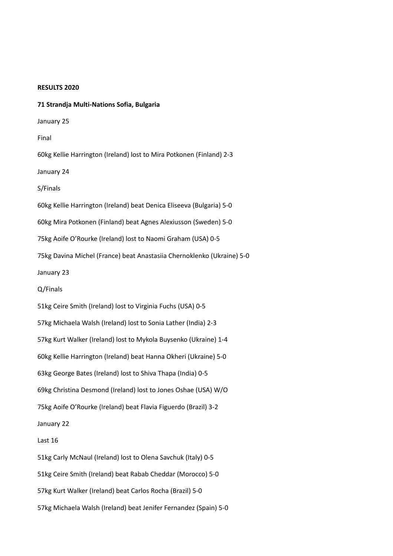#### **RESULTS 2020**

**71 Strandja Multi-Nations Sofia, Bulgaria** January 25 Final 60kg Kellie Harrington (Ireland) lost to Mira Potkonen (Finland) 2-3 January 24 S/Finals 60kg Kellie Harrington (Ireland) beat Denica Eliseeva (Bulgaria) 5-0 60kg Mira Potkonen (Finland) beat Agnes Alexiusson (Sweden) 5-0 75kg Aoife O'Rourke (Ireland) lost to Naomi Graham (USA) 0-5 75kg Davina Michel (France) beat Anastasiia Chernoklenko (Ukraine) 5-0 January 23 Q/Finals 51kg Ceire Smith (Ireland) lost to Virginia Fuchs (USA) 0-5 57kg Michaela Walsh (Ireland) lost to Sonia Lather (India) 2-3 57kg Kurt Walker (Ireland) lost to Mykola Buysenko (Ukraine) 1-4 60kg Kellie Harrington (Ireland) beat Hanna Okheri (Ukraine) 5-0 63kg George Bates (Ireland) lost to Shiva Thapa (India) 0-5 69kg Christina Desmond (Ireland) lost to Jones Oshae (USA) W/O 75kg Aoife O'Rourke (Ireland) beat Flavia Figuerdo (Brazil) 3-2 January 22 Last 16 51kg Carly McNaul (Ireland) lost to Olena Savchuk (Italy) 0-5 51kg Ceire Smith (Ireland) beat Rabab Cheddar (Morocco) 5-0 57kg Kurt Walker (Ireland) beat Carlos Rocha (Brazil) 5-0 57kg Michaela Walsh (Ireland) beat Jenifer Fernandez (Spain) 5-0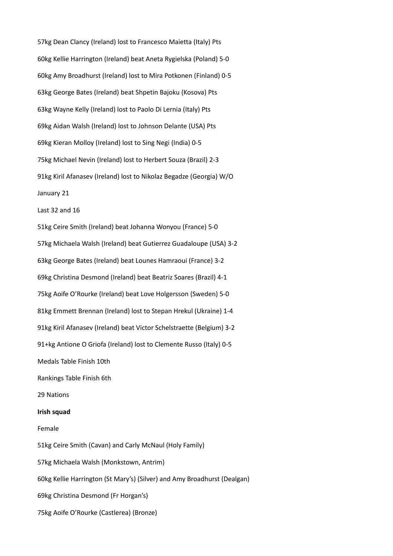57kg Dean Clancy (Ireland) lost to Francesco Maietta (Italy) Pts 60kg Kellie Harrington (Ireland) beat Aneta Rygielska (Poland) 5-0 60kg Amy Broadhurst (Ireland) lost to Mira Potkonen (Finland) 0-5 63kg George Bates (Ireland) beat Shpetin Bajoku (Kosova) Pts 63kg Wayne Kelly (Ireland) lost to Paolo Di Lernia (Italy) Pts 69kg Aidan Walsh (Ireland) lost to Johnson Delante (USA) Pts 69kg Kieran Molloy (Ireland) lost to Sing Negi (India) 0-5 75kg Michael Nevin (Ireland) lost to Herbert Souza (Brazil) 2-3 91kg Kiril Afanasev (Ireland) lost to Nikolaz Begadze (Georgia) W/O January 21 Last 32 and 16 51kg Ceire Smith (Ireland) beat Johanna Wonyou (France) 5-0 57kg Michaela Walsh (Ireland) beat Gutierrez Guadaloupe (USA) 3-2 63kg George Bates (Ireland) beat Lounes Hamraoui (France) 3-2 69kg Christina Desmond (Ireland) beat Beatriz Soares (Brazil) 4-1 75kg Aoife O'Rourke (Ireland) beat Love Holgersson (Sweden) 5-0 81kg Emmett Brennan (Ireland) lost to Stepan Hrekul (Ukraine) 1-4 91kg Kiril Afanasev (Ireland) beat Victor Schelstraette (Belgium) 3-2 91+kg Antione O Griofa (Ireland) lost to Clemente Russo (Italy) 0-5 Medals Table Finish 10th Rankings Table Finish 6th 29 Nations **Irish squad** Female 51kg Ceire Smith (Cavan) and Carly McNaul (Holy Family) 57kg Michaela Walsh (Monkstown, Antrim) 60kg Kellie Harrington (St Mary's) (Silver) and Amy Broadhurst (Dealgan) 69kg Christina Desmond (Fr Horgan's) 75kg Aoife O'Rourke (Castlerea) (Bronze)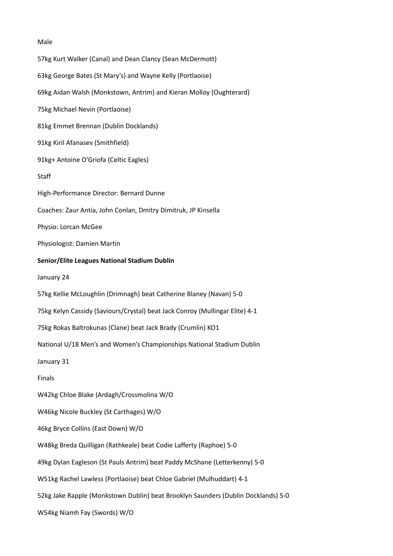### Male

57kg Kurt Walker (Canal) and Dean Clancy (Sean McDermott) 63kg George Bates (St Mary's) and Wayne Kelly (Portlaoise) 69kg Aidan Walsh (Monkstown, Antrim) and Kieran Molloy (Oughterard) 75kg Michael Nevin (Portlaoise) 81kg Emmet Brennan (Dublin Docklands) 91kg Kiril Afanasev (Smithfield) 91kg+ Antoine O'Griofa (Celtic Eagles) Staff High-Performance Director: Bernard Dunne Coaches: Zaur Antia, John Conlan, Dmitry Dimitruk, JP Kinsella Physio: Lorcan McGee Physiologist: Damien Martin **Senior/Elite Leagues National Stadium Dublin** January 24 57kg Kellie McLoughlin (Drimnagh) beat Catherine Blaney (Navan) 5-0 75kg Kelyn Cassidy (Saviours/Crystal) beat Jack Conroy (Mullingar Elite) 4-1 75kg Rokas Baltrokunas (Clane) beat Jack Brady (Crumlin) KO1 National U/18 Men's and Women's Championships National Stadium Dublin January 31 Finals W42kg Chloe Blake (Ardagh/Crossmolina W/O W46kg Nicole Buckley (St Carthages) W/O 46kg Bryce Collins (East Down) W/O W48kg Breda Quilligan (Rathkeale) beat Codie Lafferty (Raphoe) 5-0 49kg Dylan Eagleson (St Pauls Antrim) beat Paddy McShane (Letterkenny) 5-0 W51kg Rachel Lawless (Portlaoise) beat Chloe Gabriel (Mulhuddart) 4-1 52kg Jake Rapple (Monkstown Dublin) beat Brooklyn Saunders (Dublin Docklands) 5-0 W54kg Niamh Fay (Swords) W/O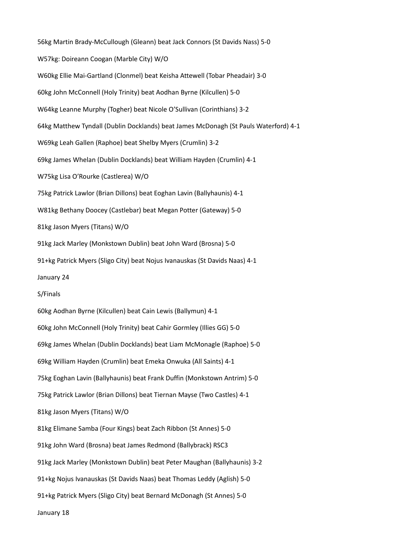56kg Martin Brady-McCullough (Gleann) beat Jack Connors (St Davids Nass) 5-0 W57kg: Doireann Coogan (Marble City) W/O W60kg Ellie Mai-Gartland (Clonmel) beat Keisha Attewell (Tobar Pheadair) 3-0 60kg John McConnell (Holy Trinity) beat Aodhan Byrne (Kilcullen) 5-0 W64kg Leanne Murphy (Togher) beat Nicole O'Sullivan (Corinthians) 3-2 64kg Matthew Tyndall (Dublin Docklands) beat James McDonagh (St Pauls Waterford) 4-1 W69kg Leah Gallen (Raphoe) beat Shelby Myers (Crumlin) 3-2 69kg James Whelan (Dublin Docklands) beat William Hayden (Crumlin) 4-1 W75kg Lisa O'Rourke (Castlerea) W/O 75kg Patrick Lawlor (Brian Dillons) beat Eoghan Lavin (Ballyhaunis) 4-1 W81kg Bethany Doocey (Castlebar) beat Megan Potter (Gateway) 5-0 81kg Jason Myers (Titans) W/O 91kg Jack Marley (Monkstown Dublin) beat John Ward (Brosna) 5-0 91+kg Patrick Myers (Sligo City) beat Nojus Ivanauskas (St Davids Naas) 4-1 January 24 S/Finals 60kg Aodhan Byrne (Kilcullen) beat Cain Lewis (Ballymun) 4-1 60kg John McConnell (Holy Trinity) beat Cahir Gormley (Illies GG) 5-0 69kg James Whelan (Dublin Docklands) beat Liam McMonagle (Raphoe) 5-0 69kg William Hayden (Crumlin) beat Emeka Onwuka (All Saints) 4-1 75kg Eoghan Lavin (Ballyhaunis) beat Frank Duffin (Monkstown Antrim) 5-0 75kg Patrick Lawlor (Brian Dillons) beat Tiernan Mayse (Two Castles) 4-1 81kg Jason Myers (Titans) W/O 81kg Elimane Samba (Four Kings) beat Zach Ribbon (St Annes) 5-0 91kg John Ward (Brosna) beat James Redmond (Ballybrack) RSC3 91kg Jack Marley (Monkstown Dublin) beat Peter Maughan (Ballyhaunis) 3-2 91+kg Nojus Ivanauskas (St Davids Naas) beat Thomas Leddy (Aglish) 5-0 91+kg Patrick Myers (Sligo City) beat Bernard McDonagh (St Annes) 5-0 January 18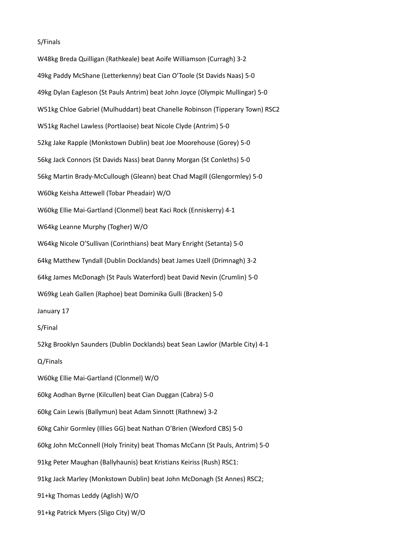### S/Finals

W48kg Breda Quilligan (Rathkeale) beat Aoife Williamson (Curragh) 3-2 49kg Paddy McShane (Letterkenny) beat Cian O'Toole (St Davids Naas) 5-0 49kg Dylan Eagleson (St Pauls Antrim) beat John Joyce (Olympic Mullingar) 5-0 W51kg Chloe Gabriel (Mulhuddart) beat Chanelle Robinson (Tipperary Town) RSC2 W51kg Rachel Lawless (Portlaoise) beat Nicole Clyde (Antrim) 5-0 52kg Jake Rapple (Monkstown Dublin) beat Joe Moorehouse (Gorey) 5-0 56kg Jack Connors (St Davids Nass) beat Danny Morgan (St Conleths) 5-0 56kg Martin Brady-McCullough (Gleann) beat Chad Magill (Glengormley) 5-0 W60kg Keisha Attewell (Tobar Pheadair) W/O W60kg Ellie Mai-Gartland (Clonmel) beat Kaci Rock (Enniskerry) 4-1 W64kg Leanne Murphy (Togher) W/O W64kg Nicole O'Sullivan (Corinthians) beat Mary Enright (Setanta) 5-0 64kg Matthew Tyndall (Dublin Docklands) beat James Uzell (Drimnagh) 3-2 64kg James McDonagh (St Pauls Waterford) beat David Nevin (Crumlin) 5-0 W69kg Leah Gallen (Raphoe) beat Dominika Gulli (Bracken) 5-0 January 17 S/Final 52kg Brooklyn Saunders (Dublin Docklands) beat Sean Lawlor (Marble City) 4-1 Q/Finals W60kg Ellie Mai-Gartland (Clonmel) W/O 60kg Aodhan Byrne (Kilcullen) beat Cian Duggan (Cabra) 5-0 60kg Cain Lewis (Ballymun) beat Adam Sinnott (Rathnew) 3-2 60kg Cahir Gormley (Illies GG) beat Nathan O'Brien (Wexford CBS) 5-0 60kg John McConnell (Holy Trinity) beat Thomas McCann (St Pauls, Antrim) 5-0 91kg Peter Maughan (Ballyhaunis) beat Kristians Keiriss (Rush) RSC1: 91kg Jack Marley (Monkstown Dublin) beat John McDonagh (St Annes) RSC2; 91+kg Thomas Leddy (Aglish) W/O 91+kg Patrick Myers (Sligo City) W/O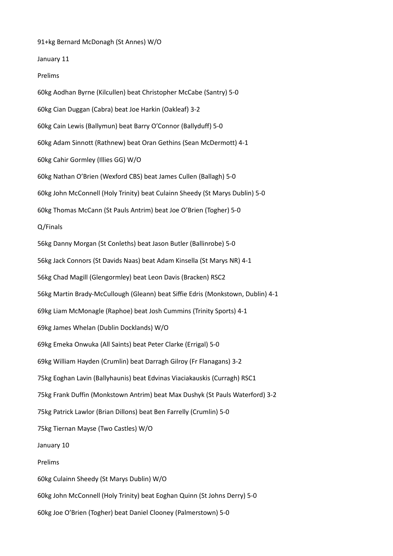91+kg Bernard McDonagh (St Annes) W/O

January 11

Prelims

60kg Aodhan Byrne (Kilcullen) beat Christopher McCabe (Santry) 5-0 60kg Cian Duggan (Cabra) beat Joe Harkin (Oakleaf) 3-2 60kg Cain Lewis (Ballymun) beat Barry O'Connor (Ballyduff) 5-0 60kg Adam Sinnott (Rathnew) beat Oran Gethins (Sean McDermott) 4-1 60kg Cahir Gormley (Illies GG) W/O 60kg Nathan O'Brien (Wexford CBS) beat James Cullen (Ballagh) 5-0 60kg John McConnell (Holy Trinity) beat Culainn Sheedy (St Marys Dublin) 5-0 60kg Thomas McCann (St Pauls Antrim) beat Joe O'Brien (Togher) 5-0 Q/Finals 56kg Danny Morgan (St Conleths) beat Jason Butler (Ballinrobe) 5-0 56kg Jack Connors (St Davids Naas) beat Adam Kinsella (St Marys NR) 4-1 56kg Chad Magill (Glengormley) beat Leon Davis (Bracken) RSC2 56kg Martin Brady-McCullough (Gleann) beat Siffie Edris (Monkstown, Dublin) 4-1 69kg Liam McMonagle (Raphoe) beat Josh Cummins (Trinity Sports) 4-1 69kg James Whelan (Dublin Docklands) W/O 69kg Emeka Onwuka (All Saints) beat Peter Clarke (Errigal) 5-0 69kg William Hayden (Crumlin) beat Darragh Gilroy (Fr Flanagans) 3-2 75kg Eoghan Lavin (Ballyhaunis) beat Edvinas Viaciakauskis (Curragh) RSC1 75kg Frank Duffin (Monkstown Antrim) beat Max Dushyk (St Pauls Waterford) 3-2 75kg Patrick Lawlor (Brian Dillons) beat Ben Farrelly (Crumlin) 5-0 75kg Tiernan Mayse (Two Castles) W/O January 10 Prelims 60kg Culainn Sheedy (St Marys Dublin) W/O 60kg John McConnell (Holy Trinity) beat Eoghan Quinn (St Johns Derry) 5-0 60kg Joe O'Brien (Togher) beat Daniel Clooney (Palmerstown) 5-0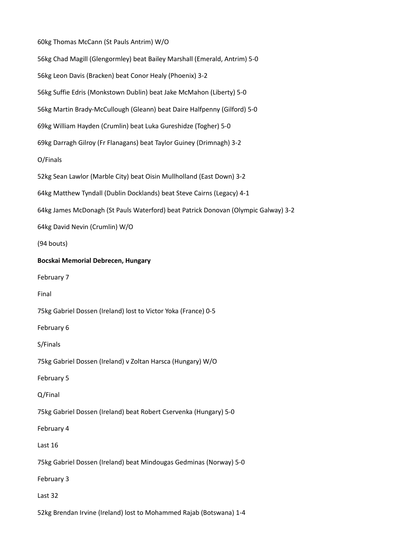60kg Thomas McCann (St Pauls Antrim) W/O 56kg Chad Magill (Glengormley) beat Bailey Marshall (Emerald, Antrim) 5-0 56kg Leon Davis (Bracken) beat Conor Healy (Phoenix) 3-2 56kg Suffie Edris (Monkstown Dublin) beat Jake McMahon (Liberty) 5-0 56kg Martin Brady-McCullough (Gleann) beat Daire Halfpenny (Gilford) 5-0 69kg William Hayden (Crumlin) beat Luka Gureshidze (Togher) 5-0 69kg Darragh Gilroy (Fr Flanagans) beat Taylor Guiney (Drimnagh) 3-2 O/Finals 52kg Sean Lawlor (Marble City) beat Oisin Mullholland (East Down) 3-2 64kg Matthew Tyndall (Dublin Docklands) beat Steve Cairns (Legacy) 4-1 64kg James McDonagh (St Pauls Waterford) beat Patrick Donovan (Olympic Galway) 3-2 64kg David Nevin (Crumlin) W/O (94 bouts) **Bocskai Memorial Debrecen, Hungary** February 7 Final 75kg Gabriel Dossen (Ireland) lost to Victor Yoka (France) 0-5 February 6 S/Finals 75kg Gabriel Dossen (Ireland) v Zoltan Harsca (Hungary) W/O February 5 Q/Final 75kg Gabriel Dossen (Ireland) beat Robert Cservenka (Hungary) 5-0 February 4 Last 16 75kg Gabriel Dossen (Ireland) beat Mindougas Gedminas (Norway) 5-0 February 3 Last 32 52kg Brendan Irvine (Ireland) lost to Mohammed Rajab (Botswana) 1-4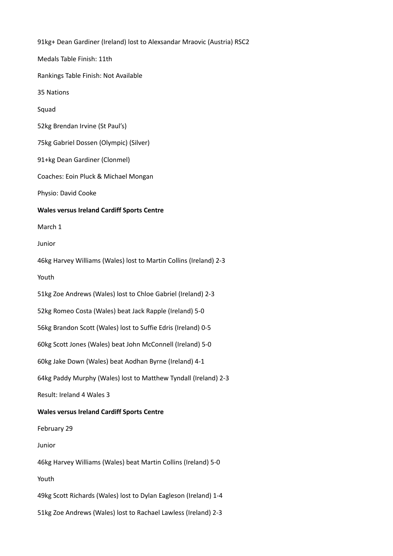91kg+ Dean Gardiner (Ireland) lost to Alexsandar Mraovic (Austria) RSC2 Medals Table Finish: 11th Rankings Table Finish: Not Available 35 Nations Squad 52kg Brendan Irvine (St Paul's) 75kg Gabriel Dossen (Olympic) (Silver) 91+kg Dean Gardiner (Clonmel) Coaches: Eoin Pluck & Michael Mongan Physio: David Cooke **Wales versus Ireland Cardiff Sports Centre** March 1 Junior 46kg Harvey Williams (Wales) lost to Martin Collins (Ireland) 2-3 Youth 51kg Zoe Andrews (Wales) lost to Chloe Gabriel (Ireland) 2-3 52kg Romeo Costa (Wales) beat Jack Rapple (Ireland) 5-0 56kg Brandon Scott (Wales) lost to Suffie Edris (Ireland) 0-5 60kg Scott Jones (Wales) beat John McConnell (Ireland) 5-0 60kg Jake Down (Wales) beat Aodhan Byrne (Ireland) 4-1 64kg Paddy Murphy (Wales) lost to Matthew Tyndall (Ireland) 2-3 Result: Ireland 4 Wales 3 **Wales versus Ireland Cardiff Sports Centre** February 29 Junior 46kg Harvey Williams (Wales) beat Martin Collins (Ireland) 5-0 Youth 49kg Scott Richards (Wales) lost to Dylan Eagleson (Ireland) 1-4 51kg Zoe Andrews (Wales) lost to Rachael Lawless (Ireland) 2-3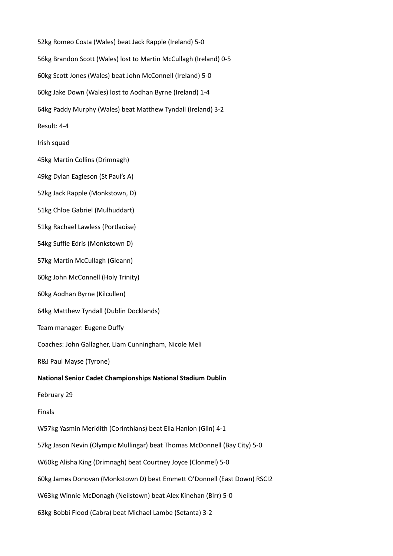52kg Romeo Costa (Wales) beat Jack Rapple (Ireland) 5-0 56kg Brandon Scott (Wales) lost to Martin McCullagh (Ireland) 0-5 60kg Scott Jones (Wales) beat John McConnell (Ireland) 5-0 60kg Jake Down (Wales) lost to Aodhan Byrne (Ireland) 1-4 64kg Paddy Murphy (Wales) beat Matthew Tyndall (Ireland) 3-2 Result: 4-4 Irish squad 45kg Martin Collins (Drimnagh) 49kg Dylan Eagleson (St Paul's A) 52kg Jack Rapple (Monkstown, D) 51kg Chloe Gabriel (Mulhuddart) 51kg Rachael Lawless (Portlaoise) 54kg Suffie Edris (Monkstown D) 57kg Martin McCullagh (Gleann) 60kg John McConnell (Holy Trinity) 60kg Aodhan Byrne (Kilcullen) 64kg Matthew Tyndall (Dublin Docklands) Team manager: Eugene Duffy Coaches: John Gallagher, Liam Cunningham, Nicole Meli R&J Paul Mayse (Tyrone) **National Senior Cadet Championships National Stadium Dublin** February 29 Finals W57kg Yasmin Meridith (Corinthians) beat Ella Hanlon (Glin) 4-1 57kg Jason Nevin (Olympic Mullingar) beat Thomas McDonnell (Bay City) 5-0 W60kg Alisha King (Drimnagh) beat Courtney Joyce (Clonmel) 5-0 60kg James Donovan (Monkstown D) beat Emmett O'Donnell (East Down) RSCI2 W63kg Winnie McDonagh (Neilstown) beat Alex Kinehan (Birr) 5-0 63kg Bobbi Flood (Cabra) beat Michael Lambe (Setanta) 3-2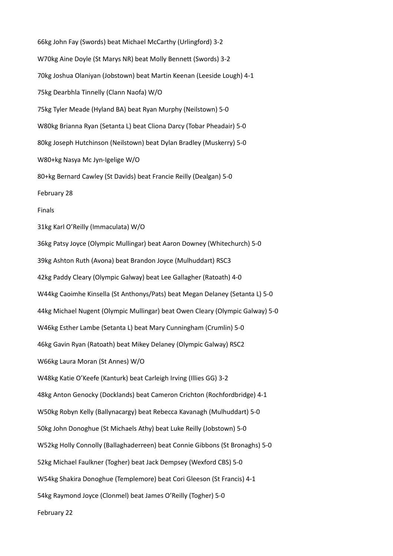66kg John Fay (Swords) beat Michael McCarthy (Urlingford) 3-2 W70kg Aine Doyle (St Marys NR) beat Molly Bennett (Swords) 3-2 70kg Joshua Olaniyan (Jobstown) beat Martin Keenan (Leeside Lough) 4-1 75kg Dearbhla Tinnelly (Clann Naofa) W/O 75kg Tyler Meade (Hyland BA) beat Ryan Murphy (Neilstown) 5-0 W80kg Brianna Ryan (Setanta L) beat Cliona Darcy (Tobar Pheadair) 5-0 80kg Joseph Hutchinson (Neilstown) beat Dylan Bradley (Muskerry) 5-0 W80+kg Nasya Mc Jyn-Igelige W/O 80+kg Bernard Cawley (St Davids) beat Francie Reilly (Dealgan) 5-0 February 28 Finals 31kg Karl O'Reilly (Immaculata) W/O 36kg Patsy Joyce (Olympic Mullingar) beat Aaron Downey (Whitechurch) 5-0 39kg Ashton Ruth (Avona) beat Brandon Joyce (Mulhuddart) RSC3 42kg Paddy Cleary (Olympic Galway) beat Lee Gallagher (Ratoath) 4-0 W44kg Caoimhe Kinsella (St Anthonys/Pats) beat Megan Delaney (Setanta L) 5-0 44kg Michael Nugent (Olympic Mullingar) beat Owen Cleary (Olympic Galway) 5-0 W46kg Esther Lambe (Setanta L) beat Mary Cunningham (Crumlin) 5-0 46kg Gavin Ryan (Ratoath) beat Mikey Delaney (Olympic Galway) RSC2 W66kg Laura Moran (St Annes) W/O W48kg Katie O'Keefe (Kanturk) beat Carleigh Irving (Illies GG) 3-2 48kg Anton Genocky (Docklands) beat Cameron Crichton (Rochfordbridge) 4-1 W50kg Robyn Kelly (Ballynacargy) beat Rebecca Kavanagh (Mulhuddart) 5-0 50kg John Donoghue (St Michaels Athy) beat Luke Reilly (Jobstown) 5-0 W52kg Holly Connolly (Ballaghaderreen) beat Connie Gibbons (St Bronaghs) 5-0 52kg Michael Faulkner (Togher) beat Jack Dempsey (Wexford CBS) 5-0 W54kg Shakira Donoghue (Templemore) beat Cori Gleeson (St Francis) 4-1 54kg Raymond Joyce (Clonmel) beat James O'Reilly (Togher) 5-0 February 22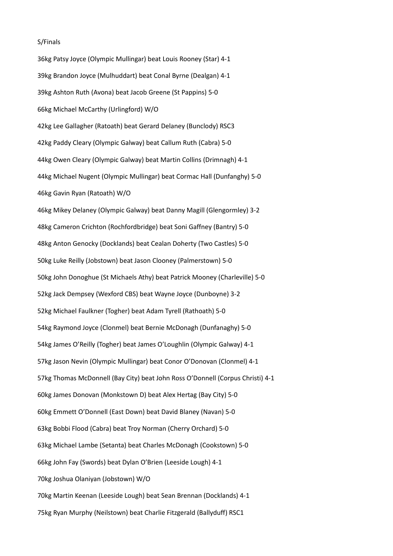### S/Finals

36kg Patsy Joyce (Olympic Mullingar) beat Louis Rooney (Star) 4-1 39kg Brandon Joyce (Mulhuddart) beat Conal Byrne (Dealgan) 4-1 39kg Ashton Ruth (Avona) beat Jacob Greene (St Pappins) 5-0 66kg Michael McCarthy (Urlingford) W/O 42kg Lee Gallagher (Ratoath) beat Gerard Delaney (Bunclody) RSC3 42kg Paddy Cleary (Olympic Galway) beat Callum Ruth (Cabra) 5-0 44kg Owen Cleary (Olympic Galway) beat Martin Collins (Drimnagh) 4-1 44kg Michael Nugent (Olympic Mullingar) beat Cormac Hall (Dunfanghy) 5-0 46kg Gavin Ryan (Ratoath) W/O 46kg Mikey Delaney (Olympic Galway) beat Danny Magill (Glengormley) 3-2 48kg Cameron Crichton (Rochfordbridge) beat Soni Gaffney (Bantry) 5-0 48kg Anton Genocky (Docklands) beat Cealan Doherty (Two Castles) 5-0 50kg Luke Reilly (Jobstown) beat Jason Clooney (Palmerstown) 5-0 50kg John Donoghue (St Michaels Athy) beat Patrick Mooney (Charleville) 5-0 52kg Jack Dempsey (Wexford CBS) beat Wayne Joyce (Dunboyne) 3-2 52kg Michael Faulkner (Togher) beat Adam Tyrell (Rathoath) 5-0 54kg Raymond Joyce (Clonmel) beat Bernie McDonagh (Dunfanaghy) 5-0 54kg James O'Reilly (Togher) beat James O'Loughlin (Olympic Galway) 4-1 57kg Jason Nevin (Olympic Mullingar) beat Conor O'Donovan (Clonmel) 4-1 57kg Thomas McDonnell (Bay City) beat John Ross O'Donnell (Corpus Christi) 4-1 60kg James Donovan (Monkstown D) beat Alex Hertag (Bay City) 5-0 60kg Emmett O'Donnell (East Down) beat David Blaney (Navan) 5-0 63kg Bobbi Flood (Cabra) beat Troy Norman (Cherry Orchard) 5-0 63kg Michael Lambe (Setanta) beat Charles McDonagh (Cookstown) 5-0 66kg John Fay (Swords) beat Dylan O'Brien (Leeside Lough) 4-1 70kg Joshua Olaniyan (Jobstown) W/O 70kg Martin Keenan (Leeside Lough) beat Sean Brennan (Docklands) 4-1 75kg Ryan Murphy (Neilstown) beat Charlie Fitzgerald (Ballyduff) RSC1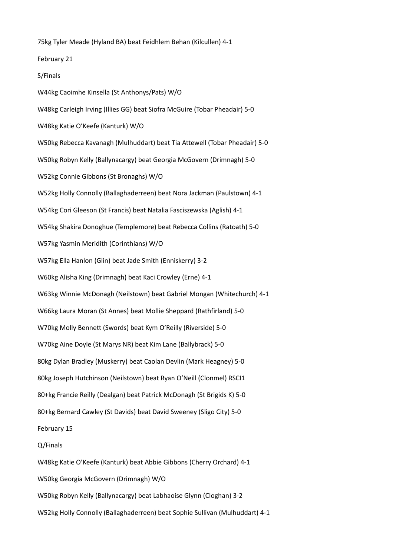75kg Tyler Meade (Hyland BA) beat Feidhlem Behan (Kilcullen) 4-1

February 21

## S/Finals

W44kg Caoimhe Kinsella (St Anthonys/Pats) W/O W48kg Carleigh Irving (Illies GG) beat Siofra McGuire (Tobar Pheadair) 5-0 W48kg Katie O'Keefe (Kanturk) W/O W50kg Rebecca Kavanagh (Mulhuddart) beat Tia Attewell (Tobar Pheadair) 5-0 W50kg Robyn Kelly (Ballynacargy) beat Georgia McGovern (Drimnagh) 5-0 W52kg Connie Gibbons (St Bronaghs) W/O W52kg Holly Connolly (Ballaghaderreen) beat Nora Jackman (Paulstown) 4-1 W54kg Cori Gleeson (St Francis) beat Natalia Fasciszewska (Aglish) 4-1 W54kg Shakira Donoghue (Templemore) beat Rebecca Collins (Ratoath) 5-0 W57kg Yasmin Meridith (Corinthians) W/O W57kg Ella Hanlon (Glin) beat Jade Smith (Enniskerry) 3-2 W60kg Alisha King (Drimnagh) beat Kaci Crowley (Erne) 4-1 W63kg Winnie McDonagh (Neilstown) beat Gabriel Mongan (Whitechurch) 4-1 W66kg Laura Moran (St Annes) beat Mollie Sheppard (Rathfirland) 5-0 W70kg Molly Bennett (Swords) beat Kym O'Reilly (Riverside) 5-0 W70kg Aine Doyle (St Marys NR) beat Kim Lane (Ballybrack) 5-0 80kg Dylan Bradley (Muskerry) beat Caolan Devlin (Mark Heagney) 5-0 80kg Joseph Hutchinson (Neilstown) beat Ryan O'Neill (Clonmel) RSCI1 80+kg Francie Reilly (Dealgan) beat Patrick McDonagh (St Brigids K) 5-0 80+kg Bernard Cawley (St Davids) beat David Sweeney (Sligo City) 5-0 February 15 Q/Finals W48kg Katie O'Keefe (Kanturk) beat Abbie Gibbons (Cherry Orchard) 4-1 W50kg Georgia McGovern (Drimnagh) W/O W50kg Robyn Kelly (Ballynacargy) beat Labhaoise Glynn (Cloghan) 3-2

W52kg Holly Connolly (Ballaghaderreen) beat Sophie Sullivan (Mulhuddart) 4-1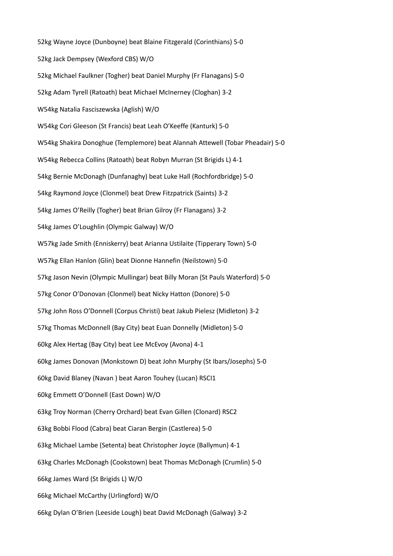52kg Wayne Joyce (Dunboyne) beat Blaine Fitzgerald (Corinthians) 5-0 52kg Jack Dempsey (Wexford CBS) W/O 52kg Michael Faulkner (Togher) beat Daniel Murphy (Fr Flanagans) 5-0 52kg Adam Tyrell (Ratoath) beat Michael McInerney (Cloghan) 3-2 W54kg Natalia Fasciszewska (Aglish) W/O W54kg Cori Gleeson (St Francis) beat Leah O'Keeffe (Kanturk) 5-0 W54kg Shakira Donoghue (Templemore) beat Alannah Attewell (Tobar Pheadair) 5-0 W54kg Rebecca Collins (Ratoath) beat Robyn Murran (St Brigids L) 4-1 54kg Bernie McDonagh (Dunfanaghy) beat Luke Hall (Rochfordbridge) 5-0 54kg Raymond Joyce (Clonmel) beat Drew Fitzpatrick (Saints) 3-2 54kg James O'Reilly (Togher) beat Brian Gilroy (Fr Flanagans) 3-2 54kg James O'Loughlin (Olympic Galway) W/O W57kg Jade Smith (Enniskerry) beat Arianna Ustilaite (Tipperary Town) 5-0 W57kg Ellan Hanlon (Glin) beat Dionne Hannefin (Neilstown) 5-0 57kg Jason Nevin (Olympic Mullingar) beat Billy Moran (St Pauls Waterford) 5-0 57kg Conor O'Donovan (Clonmel) beat Nicky Hatton (Donore) 5-0 57kg John Ross O'Donnell (Corpus Christi) beat Jakub Pielesz (Midleton) 3-2 57kg Thomas McDonnell (Bay City) beat Euan Donnelly (Midleton) 5-0 60kg Alex Hertag (Bay City) beat Lee McEvoy (Avona) 4-1 60kg James Donovan (Monkstown D) beat John Murphy (St Ibars/Josephs) 5-0 60kg David Blaney (Navan ) beat Aaron Touhey (Lucan) RSCI1 60kg Emmett O'Donnell (East Down) W/O 63kg Troy Norman (Cherry Orchard) beat Evan Gillen (Clonard) RSC2 63kg Bobbi Flood (Cabra) beat Ciaran Bergin (Castlerea) 5-0 63kg Michael Lambe (Setenta) beat Christopher Joyce (Ballymun) 4-1 63kg Charles McDonagh (Cookstown) beat Thomas McDonagh (Crumlin) 5-0 66kg James Ward (St Brigids L) W/O 66kg Michael McCarthy (Urlingford) W/O 66kg Dylan O'Brien (Leeside Lough) beat David McDonagh (Galway) 3-2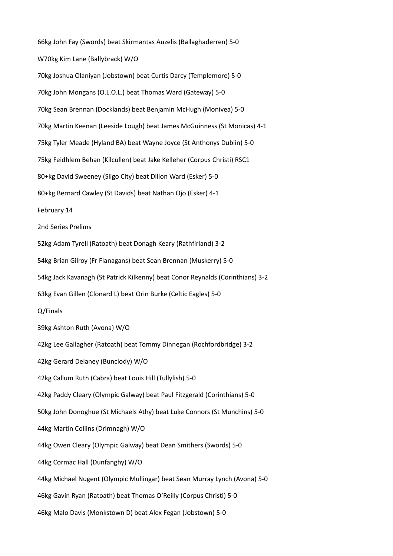66kg John Fay (Swords) beat Skirmantas Auzelis (Ballaghaderren) 5-0 W70kg Kim Lane (Ballybrack) W/O 70kg Joshua Olaniyan (Jobstown) beat Curtis Darcy (Templemore) 5-0 70kg John Mongans (O.L.O.L.) beat Thomas Ward (Gateway) 5-0 70kg Sean Brennan (Docklands) beat Benjamin McHugh (Monivea) 5-0 70kg Martin Keenan (Leeside Lough) beat James McGuinness (St Monicas) 4-1 75kg Tyler Meade (Hyland BA) beat Wayne Joyce (St Anthonys Dublin) 5-0 75kg Feidhlem Behan (Kilcullen) beat Jake Kelleher (Corpus Christi) RSC1 80+kg David Sweeney (Sligo City) beat Dillon Ward (Esker) 5-0 80+kg Bernard Cawley (St Davids) beat Nathan Ojo (Esker) 4-1 February 14 2nd Series Prelims 52kg Adam Tyrell (Ratoath) beat Donagh Keary (Rathfirland) 3-2 54kg Brian Gilroy (Fr Flanagans) beat Sean Brennan (Muskerry) 5-0 54kg Jack Kavanagh (St Patrick Kilkenny) beat Conor Reynalds (Corinthians) 3-2 63kg Evan Gillen (Clonard L) beat Orin Burke (Celtic Eagles) 5-0 Q/Finals 39kg Ashton Ruth (Avona) W/O 42kg Lee Gallagher (Ratoath) beat Tommy Dinnegan (Rochfordbridge) 3-2 42kg Gerard Delaney (Bunclody) W/O 42kg Callum Ruth (Cabra) beat Louis Hill (Tullylish) 5-0 42kg Paddy Cleary (Olympic Galway) beat Paul Fitzgerald (Corinthians) 5-0 50kg John Donoghue (St Michaels Athy) beat Luke Connors (St Munchins) 5-0 44kg Martin Collins (Drimnagh) W/O 44kg Owen Cleary (Olympic Galway) beat Dean Smithers (Swords) 5-0 44kg Cormac Hall (Dunfanghy) W/O 44kg Michael Nugent (Olympic Mullingar) beat Sean Murray Lynch (Avona) 5-0 46kg Gavin Ryan (Ratoath) beat Thomas O'Reilly (Corpus Christi) 5-0 46kg Malo Davis (Monkstown D) beat Alex Fegan (Jobstown) 5-0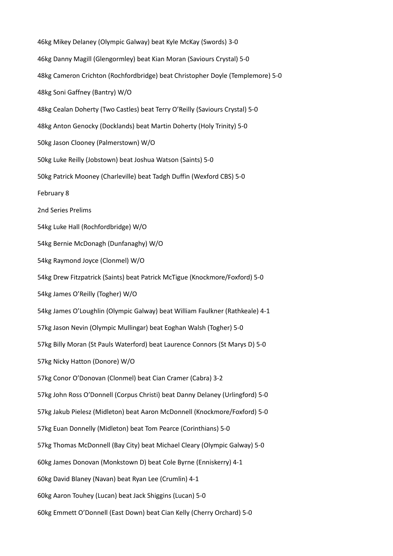46kg Mikey Delaney (Olympic Galway) beat Kyle McKay (Swords) 3-0 46kg Danny Magill (Glengormley) beat Kian Moran (Saviours Crystal) 5-0 48kg Cameron Crichton (Rochfordbridge) beat Christopher Doyle (Templemore) 5-0 48kg Soni Gaffney (Bantry) W/O 48kg Cealan Doherty (Two Castles) beat Terry O'Reilly (Saviours Crystal) 5-0 48kg Anton Genocky (Docklands) beat Martin Doherty (Holy Trinity) 5-0 50kg Jason Clooney (Palmerstown) W/O 50kg Luke Reilly (Jobstown) beat Joshua Watson (Saints) 5-0 50kg Patrick Mooney (Charleville) beat Tadgh Duffin (Wexford CBS) 5-0 February 8 2nd Series Prelims 54kg Luke Hall (Rochfordbridge) W/O 54kg Bernie McDonagh (Dunfanaghy) W/O 54kg Raymond Joyce (Clonmel) W/O 54kg Drew Fitzpatrick (Saints) beat Patrick McTigue (Knockmore/Foxford) 5-0 54kg James O'Reilly (Togher) W/O 54kg James O'Loughlin (Olympic Galway) beat William Faulkner (Rathkeale) 4-1 57kg Jason Nevin (Olympic Mullingar) beat Eoghan Walsh (Togher) 5-0 57kg Billy Moran (St Pauls Waterford) beat Laurence Connors (St Marys D) 5-0 57kg Nicky Hatton (Donore) W/O 57kg Conor O'Donovan (Clonmel) beat Cian Cramer (Cabra) 3-2 57kg John Ross O'Donnell (Corpus Christi) beat Danny Delaney (Urlingford) 5-0 57kg Jakub Pielesz (Midleton) beat Aaron McDonnell (Knockmore/Foxford) 5-0 57kg Euan Donnelly (Midleton) beat Tom Pearce (Corinthians) 5-0 57kg Thomas McDonnell (Bay City) beat Michael Cleary (Olympic Galway) 5-0 60kg James Donovan (Monkstown D) beat Cole Byrne (Enniskerry) 4-1 60kg David Blaney (Navan) beat Ryan Lee (Crumlin) 4-1 60kg Aaron Touhey (Lucan) beat Jack Shiggins (Lucan) 5-0 60kg Emmett O'Donnell (East Down) beat Cian Kelly (Cherry Orchard) 5-0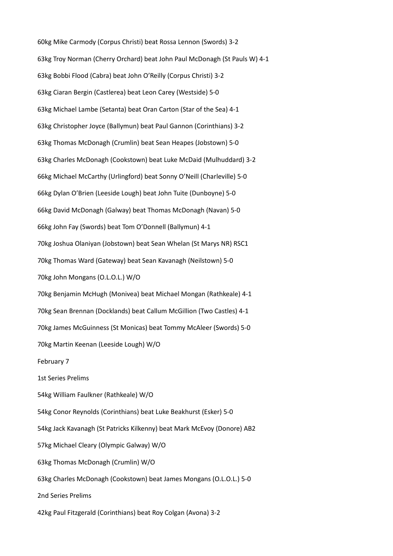60kg Mike Carmody (Corpus Christi) beat Rossa Lennon (Swords) 3-2 63kg Troy Norman (Cherry Orchard) beat John Paul McDonagh (St Pauls W) 4-1 63kg Bobbi Flood (Cabra) beat John O'Reilly (Corpus Christi) 3-2 63kg Ciaran Bergin (Castlerea) beat Leon Carey (Westside) 5-0 63kg Michael Lambe (Setanta) beat Oran Carton (Star of the Sea) 4-1 63kg Christopher Joyce (Ballymun) beat Paul Gannon (Corinthians) 3-2 63kg Thomas McDonagh (Crumlin) beat Sean Heapes (Jobstown) 5-0 63kg Charles McDonagh (Cookstown) beat Luke McDaid (Mulhuddard) 3-2 66kg Michael McCarthy (Urlingford) beat Sonny O'Neill (Charleville) 5-0 66kg Dylan O'Brien (Leeside Lough) beat John Tuite (Dunboyne) 5-0 66kg David McDonagh (Galway) beat Thomas McDonagh (Navan) 5-0 66kg John Fay (Swords) beat Tom O'Donnell (Ballymun) 4-1 70kg Joshua Olaniyan (Jobstown) beat Sean Whelan (St Marys NR) RSC1 70kg Thomas Ward (Gateway) beat Sean Kavanagh (Neilstown) 5-0 70kg John Mongans (O.L.O.L.) W/O 70kg Benjamin McHugh (Monivea) beat Michael Mongan (Rathkeale) 4-1 70kg Sean Brennan (Docklands) beat Callum McGillion (Two Castles) 4-1 70kg James McGuinness (St Monicas) beat Tommy McAleer (Swords) 5-0 70kg Martin Keenan (Leeside Lough) W/O February 7 1st Series Prelims 54kg William Faulkner (Rathkeale) W/O 54kg Conor Reynolds (Corinthians) beat Luke Beakhurst (Esker) 5-0 54kg Jack Kavanagh (St Patricks Kilkenny) beat Mark McEvoy (Donore) AB2 57kg Michael Cleary (Olympic Galway) W/O 63kg Thomas McDonagh (Crumlin) W/O 63kg Charles McDonagh (Cookstown) beat James Mongans (O.L.O.L.) 5-0 2nd Series Prelims 42kg Paul Fitzgerald (Corinthians) beat Roy Colgan (Avona) 3-2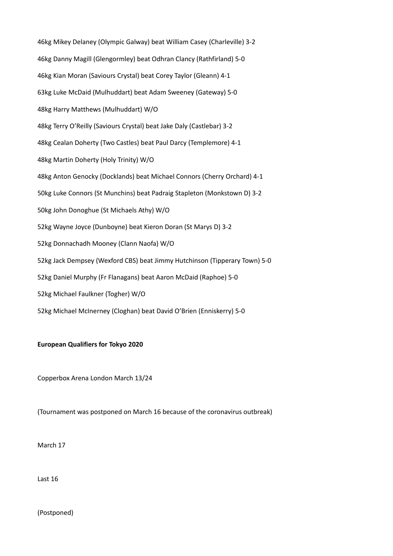46kg Mikey Delaney (Olympic Galway) beat William Casey (Charleville) 3-2 46kg Danny Magill (Glengormley) beat Odhran Clancy (Rathfirland) 5-0 46kg Kian Moran (Saviours Crystal) beat Corey Taylor (Gleann) 4-1 63kg Luke McDaid (Mulhuddart) beat Adam Sweeney (Gateway) 5-0 48kg Harry Matthews (Mulhuddart) W/O 48kg Terry O'Reilly (Saviours Crystal) beat Jake Daly (Castlebar) 3-2 48kg Cealan Doherty (Two Castles) beat Paul Darcy (Templemore) 4-1 48kg Martin Doherty (Holy Trinity) W/O 48kg Anton Genocky (Docklands) beat Michael Connors (Cherry Orchard) 4-1 50kg Luke Connors (St Munchins) beat Padraig Stapleton (Monkstown D) 3-2 50kg John Donoghue (St Michaels Athy) W/O 52kg Wayne Joyce (Dunboyne) beat Kieron Doran (St Marys D) 3-2 52kg Donnachadh Mooney (Clann Naofa) W/O 52kg Jack Dempsey (Wexford CBS) beat Jimmy Hutchinson (Tipperary Town) 5-0 52kg Daniel Murphy (Fr Flanagans) beat Aaron McDaid (Raphoe) 5-0 52kg Michael Faulkner (Togher) W/O 52kg Michael McInerney (Cloghan) beat David O'Brien (Enniskerry) 5-0

# **European Qualifiers for Tokyo 2020**

Copperbox Arena London March 13/24

(Tournament was postponed on March 16 because of the coronavirus outbreak)

March 17

Last 16

(Postponed)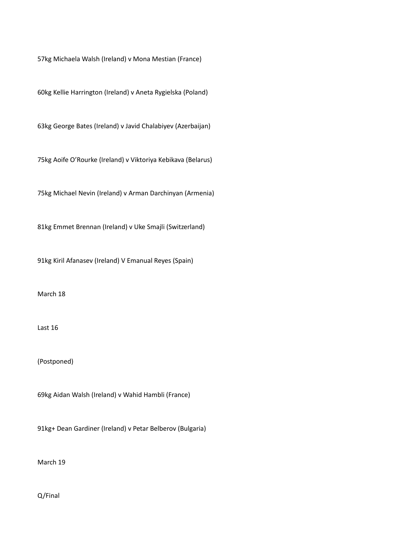57kg Michaela Walsh (Ireland) v Mona Mestian (France)

60kg Kellie Harrington (Ireland) v Aneta Rygielska (Poland)

63kg George Bates (Ireland) v Javid Chalabiyev (Azerbaijan)

75kg Aoife O'Rourke (Ireland) v Viktoriya Kebikava (Belarus)

75kg Michael Nevin (Ireland) v Arman Darchinyan (Armenia)

81kg Emmet Brennan (Ireland) v Uke Smajli (Switzerland)

91kg Kiril Afanasev (Ireland) V Emanual Reyes (Spain)

March 18

Last 16

(Postponed)

69kg Aidan Walsh (Ireland) v Wahid Hambli (France)

91kg+ Dean Gardiner (Ireland) v Petar Belberov (Bulgaria)

March 19

Q/Final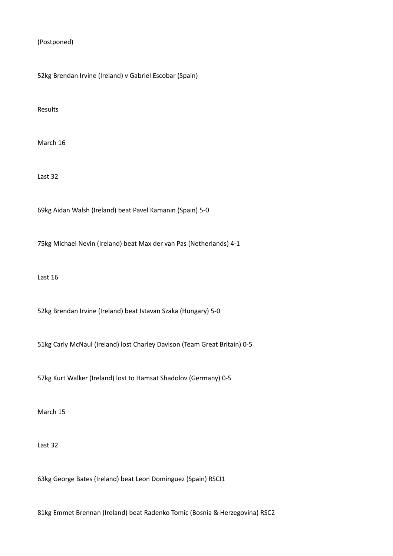(Postponed)

52kg Brendan Irvine (Ireland) v Gabriel Escobar (Spain)

Results

March 16

Last 32

69kg Aidan Walsh (Ireland) beat Pavel Kamanin (Spain) 5-0

75kg Michael Nevin (Ireland) beat Max der van Pas (Netherlands) 4-1

Last 16

52kg Brendan Irvine (Ireland) beat Istavan Szaka (Hungary) 5-0

51kg Carly McNaul (Ireland) lost Charley Davison (Team Great Britain) 0-5

57kg Kurt Walker (Ireland) lost to Hamsat Shadolov (Germany) 0-5

March 15

Last 32

63kg George Bates (Ireland) beat Leon Dominguez (Spain) RSCI1

81kg Emmet Brennan (Ireland) beat Radenko Tomic (Bosnia & Herzegovina) RSC2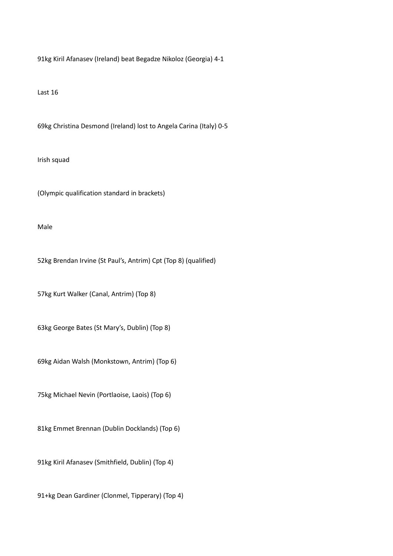91kg Kiril Afanasev (Ireland) beat Begadze Nikoloz (Georgia) 4-1

Last 16

69kg Christina Desmond (Ireland) lost to Angela Carina (Italy) 0-5

Irish squad

(Olympic qualification standard in brackets)

Male

52kg Brendan Irvine (St Paul's, Antrim) Cpt (Top 8) (qualified)

57kg Kurt Walker (Canal, Antrim) (Top 8)

63kg George Bates (St Mary's, Dublin) (Top 8)

69kg Aidan Walsh (Monkstown, Antrim) (Top 6)

75kg Michael Nevin (Portlaoise, Laois) (Top 6)

81kg Emmet Brennan (Dublin Docklands) (Top 6)

91kg Kiril Afanasev (Smithfield, Dublin) (Top 4)

91+kg Dean Gardiner (Clonmel, Tipperary) (Top 4)